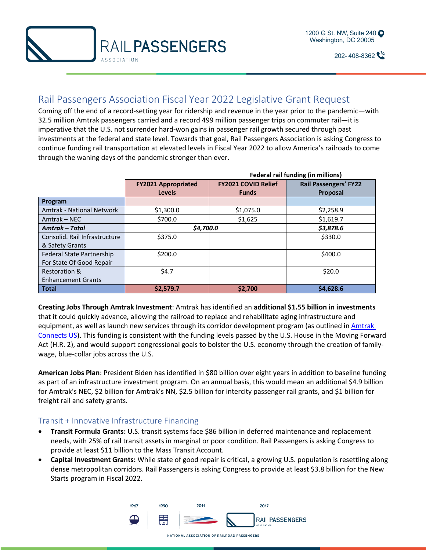



 $202 - 408 - 8362$ 

## Rail Passengers Association Fiscal Year 2022 Legislative Grant Request

Coming off the end of a record-setting year for ridership and revenue in the year prior to the pandemic—with 32.5 million Amtrak passengers carried and a record 499 million passenger trips on commuter rail—it is imperative that the U.S. not surrender hard-won gains in passenger rail growth secured through past investments at the federal and state level. Towards that goal, Rail Passengers Association is asking Congress to continue funding rail transportation at elevated levels in Fiscal Year 2022 to allow America's railroads to come through the waning days of the pandemic stronger than ever.

|                                  |                            | <b>Federal rail funding (in millions)</b> |                              |  |
|----------------------------------|----------------------------|-------------------------------------------|------------------------------|--|
|                                  | <b>FY2021 Appropriated</b> | <b>FY2021 COVID Relief</b>                | <b>Rail Passengers' FY22</b> |  |
|                                  | <b>Levels</b>              | <b>Funds</b>                              | Proposal                     |  |
| Program                          |                            |                                           |                              |  |
| <b>Amtrak - National Network</b> | \$1,300.0                  | \$1,075.0                                 | \$2,258.9                    |  |
| Amtrak – NEC                     | \$700.0                    | \$1,625                                   | \$1,619.7                    |  |
| <b>Amtrak – Total</b>            | \$4,700.0                  |                                           | \$3,878.6                    |  |
| Consolid. Rail Infrastructure    | \$375.0                    |                                           | \$330.0                      |  |
| & Safety Grants                  |                            |                                           |                              |  |
| <b>Federal State Partnership</b> | \$200.0                    |                                           | \$400.0                      |  |
| For State Of Good Repair         |                            |                                           |                              |  |
| Restoration &                    | \$4.7                      |                                           | \$20.0                       |  |
| <b>Enhancement Grants</b>        |                            |                                           |                              |  |
| <b>Total</b>                     | \$2,579.7                  | \$2,700                                   | \$4,628.6                    |  |

**Creating Jobs Through Amtrak Investment**: Amtrak has identified an **additional \$1.55 billion in investments** that it could quickly advance, allowing the railroad to replace and rehabilitate aging infrastructure and equipment, as well as launch new services through its corridor development program (as outlined in Amtrak Connects US). This funding is consistent with the funding levels passed by the U.S. House in the Moving Forward Act (H.R. 2), and would support congressional goals to bolster the U.S. economy through the creation of familywage, blue-collar jobs across the U.S.

**American Jobs Plan**: President Biden has identified in \$80 billion over eight years in addition to baseline funding as part of an infrastructure investment program. On an annual basis, this would mean an additional \$4.9 billion for Amtrak's NEC, \$2 billion for Amtrak's NN, \$2.5 billion for intercity passenger rail grants, and \$1 billion for freight rail and safety grants.

## Transit + Innovative Infrastructure Financing

- **Transit Formula Grants:** U.S. transit systems face \$86 billion in deferred maintenance and replacement needs, with 25% of rail transit assets in marginal or poor condition. Rail Passengers is asking Congress to provide at least \$11 billion to the Mass Transit Account.
- **Capital Investment Grants:** While state of good repair is critical, a growing U.S. population is resettling along dense metropolitan corridors. Rail Passengers is asking Congress to provide at least \$3.8 billion for the New Starts program in Fiscal 2022.